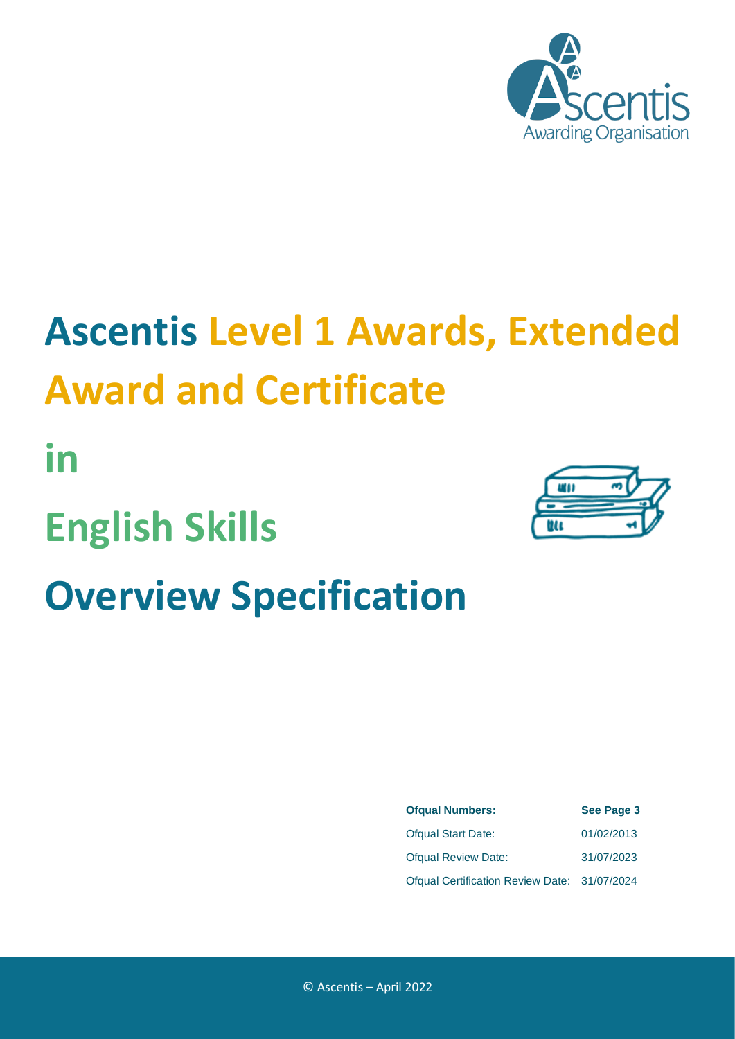

# **Ascentis Level 1 Awards, Extended Award and Certificate**

**in English Skills Overview Specification**



| <b>Ofqual Numbers:</b>                       | See Page 3 |  |  |
|----------------------------------------------|------------|--|--|
| <b>Ofqual Start Date:</b>                    | 01/02/2013 |  |  |
| <b>Ofqual Review Date:</b>                   | 31/07/2023 |  |  |
| Ofqual Certification Review Date: 31/07/2024 |            |  |  |

© Ascentis – April 2022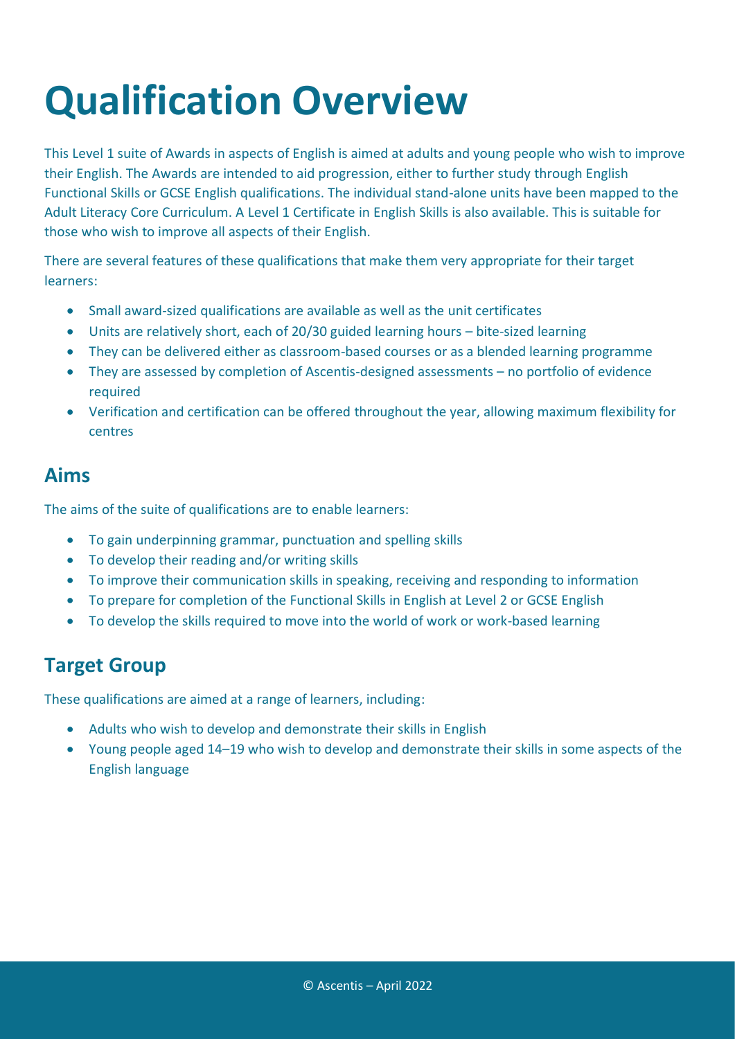## **Qualification Overview**

This Level 1 suite of Awards in aspects of English is aimed at adults and young people who wish to improve their English. The Awards are intended to aid progression, either to further study through English Functional Skills or GCSE English qualifications. The individual stand-alone units have been mapped to the Adult Literacy Core Curriculum. A Level 1 Certificate in English Skills is also available. This is suitable for those who wish to improve all aspects of their English.

There are several features of these qualifications that make them very appropriate for their target learners:

- Small award-sized qualifications are available as well as the unit certificates
- Units are relatively short, each of 20/30 guided learning hours bite-sized learning
- They can be delivered either as classroom-based courses or as a blended learning programme
- They are assessed by completion of Ascentis-designed assessments no portfolio of evidence required
- Verification and certification can be offered throughout the year, allowing maximum flexibility for centres

#### **Aims**

The aims of the suite of qualifications are to enable learners:

- To gain underpinning grammar, punctuation and spelling skills
- To develop their reading and/or writing skills
- To improve their communication skills in speaking, receiving and responding to information
- To prepare for completion of the Functional Skills in English at Level 2 or GCSE English
- To develop the skills required to move into the world of work or work-based learning

#### **Target Group**

These qualifications are aimed at a range of learners, including:

- Adults who wish to develop and demonstrate their skills in English
- Young people aged 14–19 who wish to develop and demonstrate their skills in some aspects of the English language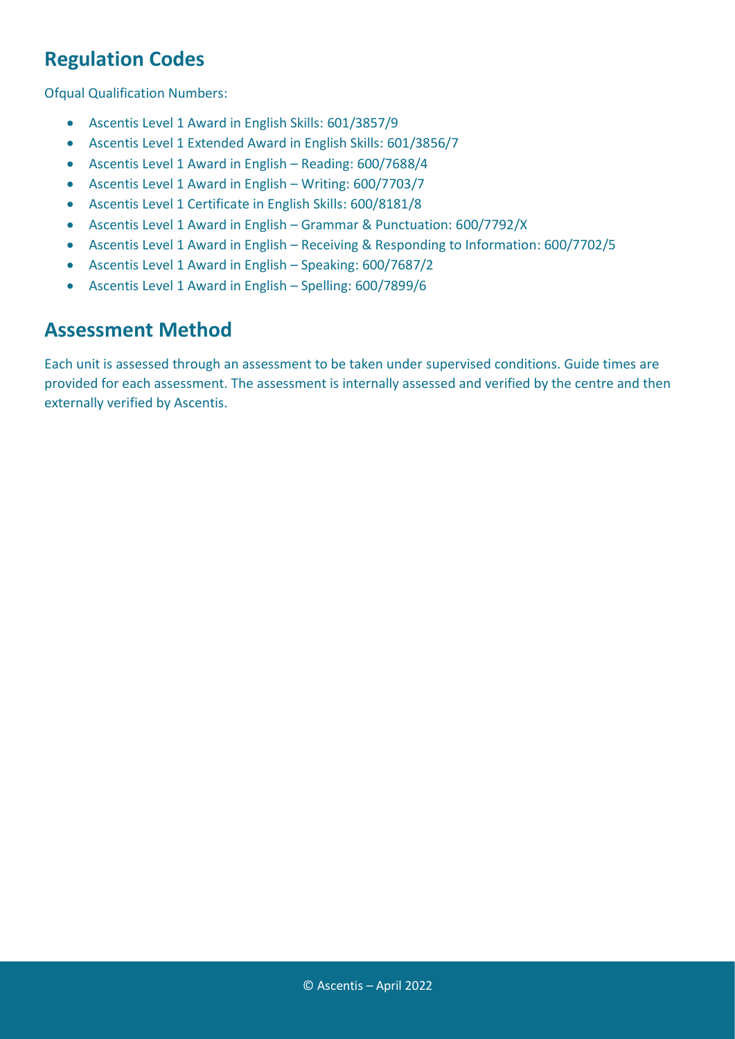### **Regulation Codes**

Ofqual Qualification Numbers:

- Ascentis Level 1 Award in English Skills: 601/3857/9
- Ascentis Level 1 Extended Award in English Skills: 601/3856/7
- Ascentis Level 1 Award in English Reading: 600/7688/4
- Ascentis Level 1 Award in English Writing: 600/7703/7
- Ascentis Level 1 Certificate in English Skills: 600/8181/8
- Ascentis Level 1 Award in English Grammar & Punctuation: 600/7792/X
- Ascentis Level 1 Award in English Receiving & Responding to Information: 600/7702/5
- Ascentis Level 1 Award in English Speaking: 600/7687/2
- Ascentis Level 1 Award in English Spelling: 600/7899/6

#### **Assessment Method**

Each unit is assessed through an assessment to be taken under supervised conditions. Guide times are provided for each assessment. The assessment is internally assessed and verified by the centre and then externally verified by Ascentis.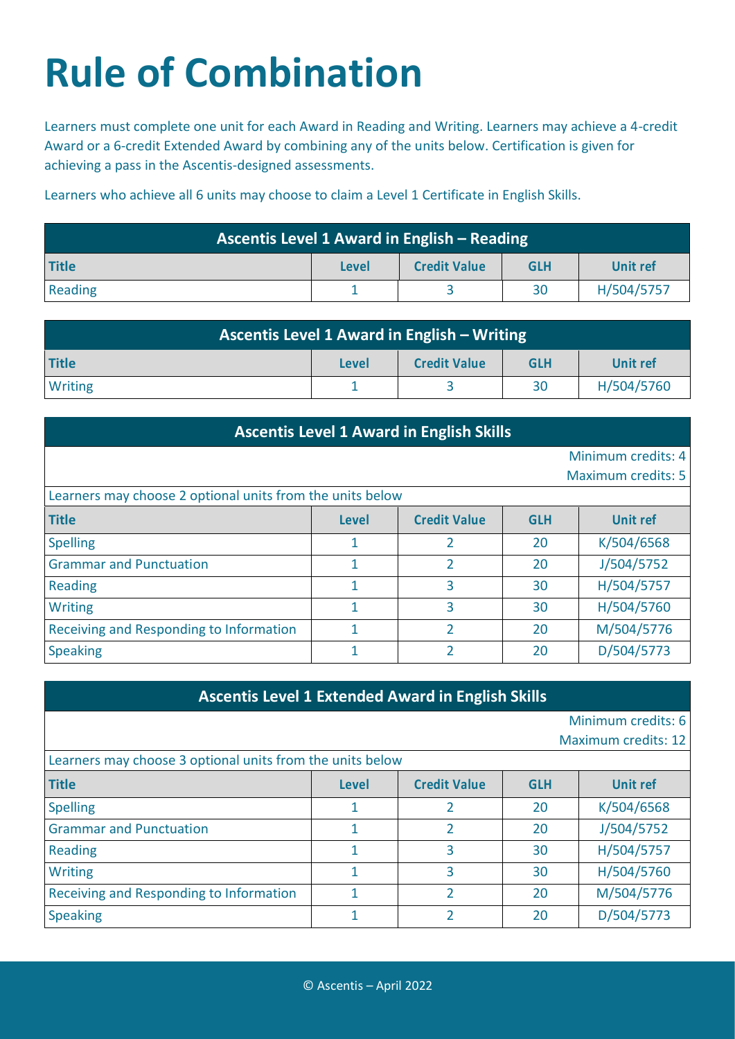## **Rule of Combination**

Learners must complete one unit for each Award in Reading and Writing. Learners may achieve a 4-credit Award or a 6-credit Extended Award by combining any of the units below. Certification is given for achieving a pass in the Ascentis-designed assessments.

Learners who achieve all 6 units may choose to claim a Level 1 Certificate in English Skills.

| Ascentis Level 1 Award in English – Reading |              |                     |            |                 |
|---------------------------------------------|--------------|---------------------|------------|-----------------|
| <b>Title</b>                                | <b>Level</b> | <b>Credit Value</b> | <b>GLH</b> | <b>Unit ref</b> |
| Reading                                     |              |                     | 30         | H/504/5757      |

| <b>Ascentis Level 1 Award in English - Writing</b> |              |                     |            |            |
|----------------------------------------------------|--------------|---------------------|------------|------------|
| <b>Title</b>                                       | <b>Level</b> | <b>Credit Value</b> | <b>GLH</b> | Unit ref   |
| <b>Writing</b>                                     |              |                     | 30         | H/504/5760 |

| <b>Ascentis Level 1 Award in English Skills</b>           |              |                     |            |                           |
|-----------------------------------------------------------|--------------|---------------------|------------|---------------------------|
|                                                           |              |                     |            | Minimum credits: 4        |
|                                                           |              |                     |            | <b>Maximum credits: 5</b> |
| Learners may choose 2 optional units from the units below |              |                     |            |                           |
| <b>Title</b>                                              | <b>Level</b> | <b>Credit Value</b> | <b>GLH</b> | <b>Unit ref</b>           |
| <b>Spelling</b>                                           | 1            | 2                   | 20         | K/504/6568                |
| <b>Grammar and Punctuation</b>                            | 1            | $\overline{2}$      | 20         | J/504/5752                |
| <b>Reading</b>                                            | 1            | 3                   | 30         | H/504/5757                |
| <b>Writing</b>                                            | 1            | 3                   | 30         | H/504/5760                |
| Receiving and Responding to Information                   |              | C.                  | 20         | M/504/5776                |
| <b>Speaking</b>                                           | 1            | C                   | 20         | D/504/5773                |

Minimum credits: 6

Maximum credits: 12

| Learners may choose 3 optional units from the units below |              |                     |            |                 |
|-----------------------------------------------------------|--------------|---------------------|------------|-----------------|
| <b>Title</b>                                              | <b>Level</b> | <b>Credit Value</b> | <b>GLH</b> | <b>Unit ref</b> |
| <b>Spelling</b>                                           |              |                     | 20         | K/504/6568      |
| <b>Grammar and Punctuation</b>                            |              |                     | 20         | J/504/5752      |
| <b>Reading</b>                                            |              |                     | 30         | H/504/5757      |
| <b>Writing</b>                                            |              |                     | 30         | H/504/5760      |
| Receiving and Responding to Information                   |              |                     | 20         | M/504/5776      |
| <b>Speaking</b>                                           |              |                     | 20         | D/504/5773      |